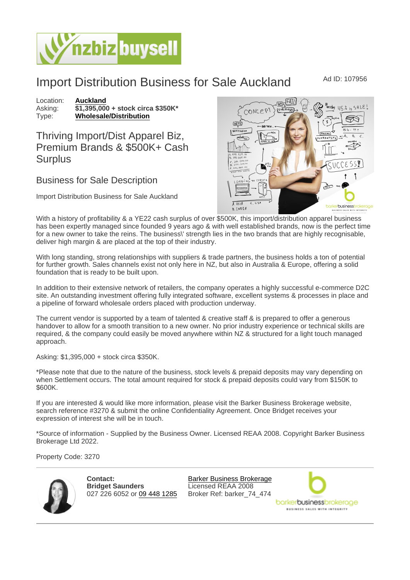## Import Distribution Business for Sale Auckland Mad ID: 107956

Location: [Auckland](https://www.nzbizbuysell.co.nz/businesses-for-sale/location/Auckland) Asking:  $\frac{$1,395,000}{\text{61,395,000}}$  + stock circa \$350K\* [Wholesale/Distribution](https://www.nzbizbuysell.co.nz/businesses-for-sale/Wholesale--Distribution/New-Zealand)

Thriving Import/Dist Apparel Biz, Premium Brands & \$500K+ Cash **Surplus** 

## Business for Sale Description

Import Distribution Business for Sale Auckland

With a history of profitability & a YE22 cash surplus of over \$500K, this import/distribution apparel business has been expertly managed since founded 9 years ago & with well established brands, now is the perfect time for a new owner to take the reins. The business\' strength lies in the two brands that are highly recognisable, deliver high margin & are placed at the top of their industry.

With long standing, strong relationships with suppliers & trade partners, the business holds a ton of potential for further growth. Sales channels exist not only here in NZ, but also in Australia & Europe, offering a solid foundation that is ready to be built upon.

In addition to their extensive network of retailers, the company operates a highly successful e-commerce D2C site. An outstanding investment offering fully integrated software, excellent systems & processes in place and a pipeline of forward wholesale orders placed with production underway.

The current vendor is supported by a team of talented & creative staff & is prepared to offer a generous handover to allow for a smooth transition to a new owner. No prior industry experience or technical skills are required, & the company could easily be moved anywhere within NZ & structured for a light touch managed approach.

Asking: \$1,395,000 + stock circa \$350K.

\*Please note that due to the nature of the business, stock levels & prepaid deposits may vary depending on when Settlement occurs. The total amount required for stock & prepaid deposits could vary from \$150K to \$600K.

If you are interested & would like more information, please visit the Barker Business Brokerage website, search reference #3270 & submit the online Confidentiality Agreement. Once Bridget receives your expression of interest she will be in touch.

\*Source of information - Supplied by the Business Owner. Licensed REAA 2008. Copyright Barker Business Brokerage Ltd 2022.

Property Code: 3270

Contact: Bridget Saunders 027 226 6052 or [09 448 1285](tel:09 448 1285)

[Barker Business Brokerage](https://www.nzbizbuysell.co.nz/business-brokers/96/barker-business-brokerage/brokerage-listings) Licensed REAA 2008 Broker Ref: barker\_74\_474